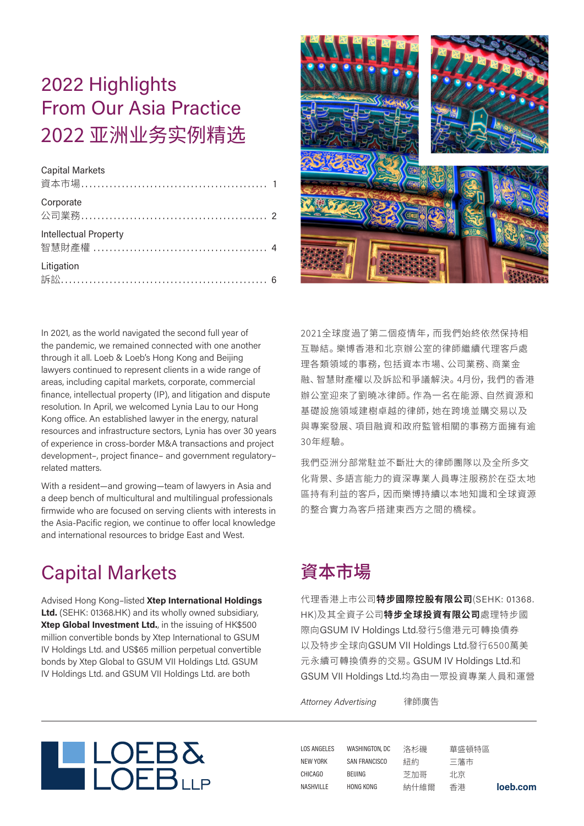# 2022 Highlights From Our Asia Practice 2022 亚洲业务实例精选

#### Capital Markets

| 資本市場…………………………………………… 1 |  |
|-------------------------|--|
| Corporate               |  |
| Intellectual Property   |  |
| Litigation              |  |



In 2021, as the world navigated the second full year of the pandemic, we remained connected with one another through it all. Loeb & Loeb's Hong Kong and Beijing lawyers continued to represent clients in a wide range of areas, including capital markets, corporate, commercial finance, intellectual property (IP), and litigation and dispute resolution. In April, we welcomed Lynia Lau to our Hong Kong office. An established lawyer in the energy, natural resources and infrastructure sectors, Lynia has over 30 years of experience in cross-border M&A transactions and project development–, project finance– and government regulatory– related matters.

With a resident—and growing—team of lawyers in Asia and a deep bench of multicultural and multilingual professionals firmwide who are focused on serving clients with interests in the Asia-Pacific region, we continue to offer local knowledge and international resources to bridge East and West.

### Capital Markets

Advised Hong Kong–listed **Xtep International Holdings Ltd.** (SEHK: 01368.HK) and its wholly owned subsidiary, **Xtep Global Investment Ltd.**, in the issuing of HK\$500 million convertible bonds by Xtep International to GSUM IV Holdings Ltd. and US\$65 million perpetual convertible bonds by Xtep Global to GSUM VII Holdings Ltd. GSUM IV Holdings Ltd. and GSUM VII Holdings Ltd. are both

2021全球度過了第二個疫情年,而我們始終依然保持相 互聯結。樂博香港和北京辦公室的律師繼續代理客戶處 理各類領域的事務,包括資本市場、公司業務、商業金 融、智慧財產權以及訴訟和爭議解決。4月份,我們的香港 辦公室迎來了劉曉冰律師。作為一名在能源、自然資源和 基礎設施領域建樹卓越的律師,她在跨境並購交易以及 與專案發展、項目融資和政府監管相關的事務方面擁有谕 30年經驗。

我們亞洲分部常駐並不斷壯大的律師團隊以及全所多文 化背景、多語言能力的資深專業人員專注服務於在亞太地 區持有利益的客戶,因而樂博持續以本地知識和全球資源 的整合實力為客戶搭建東西方之間的橋樑。

### 資本市場

代理香港上市公司**特步國際控股有限公司**(SEHK: 01368. HK)及其全資子公司**特步全球投資有限公司**處理特步國 際向GSUM IV Holdings Ltd.發行5億港元可轉換債券 以及特步全球向GSUM VII Holdings Ltd.發行6500萬美 元永續可轉換債券的交易。GSUM IV Holdings Ltd.和 GSUM VII Holdings Ltd.均為由一眾投資專業人員和運營

*Attorney Advertising* 律師廣告



**loeb.com** LOS ANGELES NEW YORK CHICAGO **NASHVILLE** WASHINGTON, DC SAN FRANCISCO BEIJING HONG KONG 洛杉磯 紐約 芝加哥 納什維爾 華盛頓特區 三藩市 北京 香港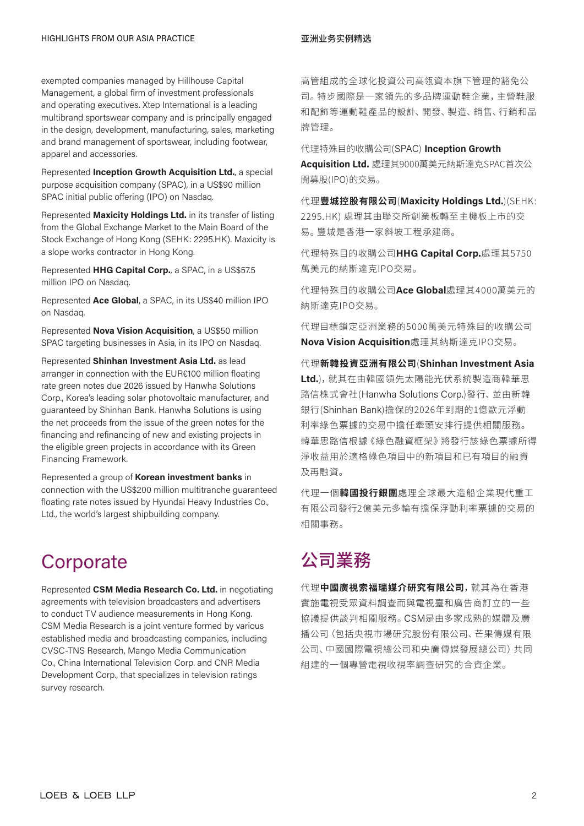exempted companies managed by Hillhouse Capital Management, a global firm of investment professionals and operating executives. Xtep International is a leading multibrand sportswear company and is principally engaged in the design, development, manufacturing, sales, marketing and brand management of sportswear, including footwear, apparel and accessories.

Represented **Inception Growth Acquisition Ltd.**, a special purpose acquisition company (SPAC), in a US\$90 million SPAC initial public offering (IPO) on Nasdaq.

Represented **Maxicity Holdings Ltd.** in its transfer of listing from the Global Exchange Market to the Main Board of the Stock Exchange of Hong Kong (SEHK: 2295.HK). Maxicity is a slope works contractor in Hong Kong.

Represented **HHG Capital Corp.**, a SPAC, in a US\$57.5 million IPO on Nasdaq.

Represented **Ace Global**, a SPAC, in its US\$40 million IPO on Nasdaq.

Represented **Nova Vision Acquisition**, a US\$50 million SPAC targeting businesses in Asia, in its IPO on Nasdaq.

Represented **Shinhan Investment Asia Ltd.** as lead arranger in connection with the EUR€100 million floating rate green notes due 2026 issued by Hanwha Solutions Corp., Korea's leading solar photovoltaic manufacturer, and guaranteed by Shinhan Bank. Hanwha Solutions is using the net proceeds from the issue of the green notes for the financing and refinancing of new and existing projects in the eligible green projects in accordance with its Green Financing Framework.

Represented a group of **Korean investment banks** in connection with the US\$200 million multitranche guaranteed floating rate notes issued by Hyundai Heavy Industries Co., Ltd., the world's largest shipbuilding company.

### **Corporate**

Represented **CSM Media Research Co. Ltd.** in negotiating agreements with television broadcasters and advertisers to conduct TV audience measurements in Hong Kong. CSM Media Research is a joint venture formed by various established media and broadcasting companies, including CVSC-TNS Research, Mango Media Communication Co., China International Television Corp. and CNR Media Development Corp., that specializes in television ratings survey research.

高管組成的全球化投資公司高瓴資本旗下管理的豁免公 司。特步國際是一家領先的多品牌運動鞋企業,主營鞋服 和配飾等運動鞋產品的設計、開發、製造、銷售、行銷和品 牌管理。

代理特殊目的收購公司(SPAC) **Inception Growth Acquisition Ltd.** 處理其9000萬美元納斯達克SPAC首次公 開募股(IPO)的交易。

代理**豐城控股有限公司**(**Maxicity Holdings Ltd.**)(SEHK: 2295.HK) 處理其由聯交所創業板轉至主機板上市的交 易。豐城是香港一家斜坡工程承建商。

代理特殊目的收購公司**HHG Capital Corp.**處理其5750 萬美元的納斯達克IPO交易。

代理特殊目的收購公司**Ace Global**處理其4000萬美元的 納斯達克IPO交易。

代理目標鎖定亞洲業務的5000萬美元特殊目的收購公司 **Nova Vision Acquisition**處理其納斯達克IPO交易。

代理**新韓投資亞洲有限公司**(**Shinhan Investment Asia Ltd.**),就其在由韓國領先太陽能光伏系統製造商韓華思 路信株式會社(Hanwha Solutions Corp.)發行、並由新韓 銀行(Shinhan Bank)擔保的2026年到期的1億歐元浮動 利率綠色票據的交易中擔任牽頭安排行提供相關服務。 韓華思路信根據《綠色融資框架》將發行該綠色票據所得 淨收益用於適格綠色項目中的新項目和已有項目的融資 及再融資。

代理一個**韓國投行銀團**處理全球最大造船企業現代重工 有限公司發行2億美元多輪有擔保浮動利率票據的交易的 相關事務。

### 公司業務

代理**中國廣視索福瑞媒介研究有限公司**,就其為在香港 實施電視受眾資料調查而與電視臺和廣告商訂立的一些 協議提供談判相關服務。CSM是由多家成熟的媒體及廣 播公司(包括央視市場研究股份有限公司、芒果傳媒有限 公司、中國國際電視總公司和央廣傳媒發展總公司)共同 組建的一個專營電視收視率調查研究的合資企業。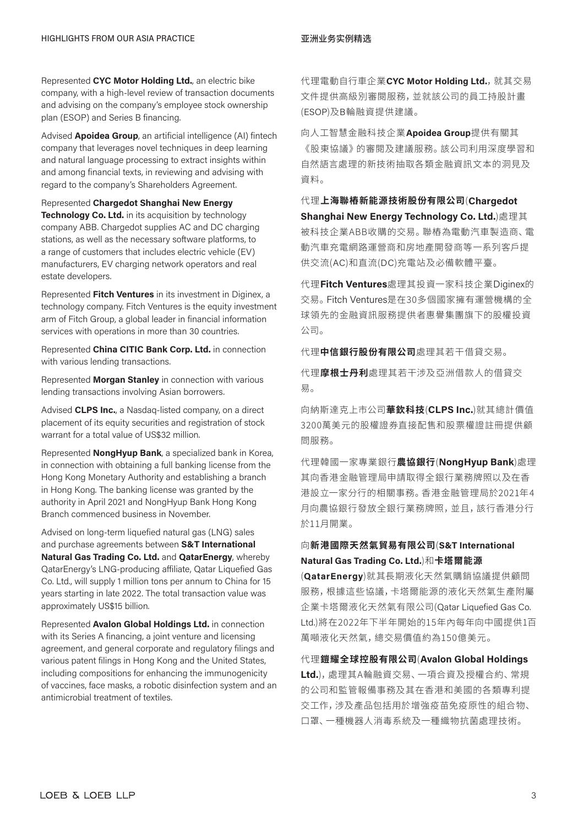Represented **CYC Motor Holding Ltd.**, an electric bike company, with a high-level review of transaction documents and advising on the company's employee stock ownership plan (ESOP) and Series B financing.

Advised **Apoidea Group**, an artificial intelligence (AI) fintech company that leverages novel techniques in deep learning and natural language processing to extract insights within and among financial texts, in reviewing and advising with regard to the company's Shareholders Agreement.

### Represented **Chargedot Shanghai New Energy**

**Technology Co. Ltd.** in its acquisition by technology company ABB. Chargedot supplies AC and DC charging stations, as well as the necessary software platforms, to a range of customers that includes electric vehicle (EV) manufacturers, EV charging network operators and real estate developers.

Represented **Fitch Ventures** in its investment in Diginex, a technology company. Fitch Ventures is the equity investment arm of Fitch Group, a global leader in financial information services with operations in more than 30 countries.

Represented **China CITIC Bank Corp. Ltd.** in connection with various lending transactions.

Represented **Morgan Stanley** in connection with various lending transactions involving Asian borrowers.

Advised **CLPS Inc.**, a Nasdaq-listed company, on a direct placement of its equity securities and registration of stock warrant for a total value of US\$32 million.

Represented **NongHyup Bank**, a specialized bank in Korea, in connection with obtaining a full banking license from the Hong Kong Monetary Authority and establishing a branch in Hong Kong. The banking license was granted by the authority in April 2021 and NongHyup Bank Hong Kong Branch commenced business in November.

Advised on long-term liquefied natural gas (LNG) sales and purchase agreements between **S&T International Natural Gas Trading Co. Ltd.** and **QatarEnergy**, whereby QatarEnergy's LNG-producing affiliate, Qatar Liquefied Gas Co. Ltd., will supply 1 million tons per annum to China for 15 years starting in late 2022. The total transaction value was approximately US\$15 billion.

Represented **Avalon Global Holdings Ltd.** in connection with its Series A financing, a joint venture and licensing agreement, and general corporate and regulatory filings and various patent filings in Hong Kong and the United States, including compositions for enhancing the immunogenicity of vaccines, face masks, a robotic disinfection system and an antimicrobial treatment of textiles.

代理電動自行車企業CYC Motor Holding Ltd., 就其交易 文件提供高級別審閱服務,並就該公司的員工持股計畫 (ESOP)及B輪融資提供建議。

向人工智慧金融科技企業**Apoidea Group**提供有關其 《股東協議》的審閱及建議服務。該公司利用深度學習和 自然語言處理的新技術抽取各類金融資訊文本的洞見及 資料。

代理**上海聯樁新能源技術股份有限公司**(**Chargedot Shanghai New Energy Technology Co. Ltd.**)處理其 被科技企業ABB收購的交易。聯樁為電動汽車製造商、電 動汽車充電網路運營商和房地產開發商等一系列客戶提 供交流(AC)和直流(DC)充電站及必備軟體平臺。

代理**Fitch Ventures**處理其投資一家科技企業Diginex的 交易。Fitch Ventures是在30多個國家擁有運營機構的全 球領先的金融資訊服務提供者惠譽集團旗下的股權投資 公司。

代理**中信銀行股份有限公司**處理其若干借貸交易。

代理**摩根士丹利**處理其若干涉及亞洲借款人的借貸交 易。

向納斯達克上市公司**華欽科技**(**CLPS Inc.**)就其總計價值 3200萬美元的股權證券直接配售和股票權證註冊提供顧 問服務。

代理韓國一家專業銀行**農協銀行**(**NongHyup Bank**)處理 其向香港金融管理局申請取得全銀行業務牌照以及在香 港設立一家分行的相關事務。香港金融管理局於2021年4 月向農協銀行發放全銀行業務牌照,並且,該行香港分行 於11月開業。

#### 向**新港國際天然氣貿易有限公司**(**S&T International Natural Gas Trading Co. Ltd.**)和**卡塔爾能源**

(**QatarEnergy**)就其長期液化天然氣購銷協議提供顧問 服務,根據這些協議,卡塔爾能源的液化天然氣生產附屬 企業卡塔爾液化天然氣有限公司(Qatar Liquefied Gas Co. Ltd.)將在2022年下半年開始的15年內每年向中國提供1百 萬噸液化天然氣,總交易價值約為150億美元。

代理**鎧耀全球控股有限公司**(**Avalon Global Holdings Ltd.**),處理其A輪融資交易、一項合資及授權合約、常規 的公司和監管報備事務及其在香港和美國的各類專利提 交工作,涉及產品包括用於增強疫苗免疫原性的組合物、 口罩、一種機器人消毒系統及一種織物抗菌處理技術。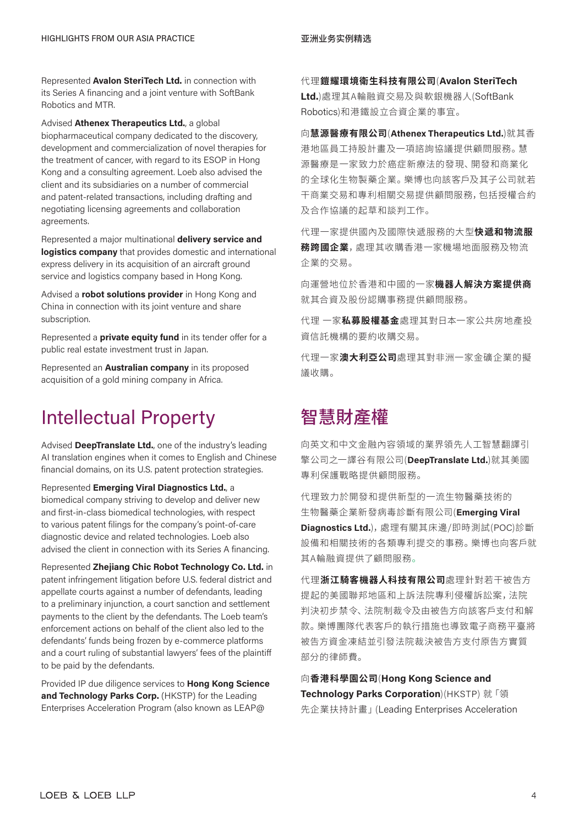Represented **Avalon SteriTech Ltd.** in connection with its Series A financing and a joint venture with SoftBank Robotics and MTR.

Advised **Athenex Therapeutics Ltd.**, a global biopharmaceutical company dedicated to the discovery, development and commercialization of novel therapies for the treatment of cancer, with regard to its ESOP in Hong Kong and a consulting agreement. Loeb also advised the client and its subsidiaries on a number of commercial and patent-related transactions, including drafting and negotiating licensing agreements and collaboration agreements.

Represented a major multinational **delivery service and logistics company** that provides domestic and international express delivery in its acquisition of an aircraft ground service and logistics company based in Hong Kong.

Advised a **robot solutions provider** in Hong Kong and China in connection with its joint venture and share subscription.

Represented a **private equity fund** in its tender offer for a public real estate investment trust in Japan.

Represented an **Australian company** in its proposed acquisition of a gold mining company in Africa.

### Intellectual Property

Advised **DeepTranslate Ltd.**, one of the industry's leading AI translation engines when it comes to English and Chinese financial domains, on its U.S. patent protection strategies.

Represented **Emerging Viral Diagnostics Ltd.**, a biomedical company striving to develop and deliver new and first-in-class biomedical technologies, with respect to various patent filings for the company's point-of-care diagnostic device and related technologies. Loeb also advised the client in connection with its Series A financing.

Represented **Zhejiang Chic Robot Technology Co. Ltd.** in patent infringement litigation before U.S. federal district and appellate courts against a number of defendants, leading to a preliminary injunction, a court sanction and settlement payments to the client by the defendants. The Loeb team's enforcement actions on behalf of the client also led to the defendants' funds being frozen by e-commerce platforms and a court ruling of substantial lawyers' fees of the plaintiff to be paid by the defendants.

Provided IP due diligence services to **Hong Kong Science and Technology Parks Corp.** (HKSTP) for the Leading Enterprises Acceleration Program (also known as LEAP@

代理**鎧耀環境衛生科技有限公司**(**Avalon SteriTech Ltd.**)處理其A輪融資交易及與軟銀機器人(SoftBank Robotics)和港鐵設立合資企業的事宜。

向**慧源醫療有限公司**(**Athenex Therapeutics Ltd.**)就其香 港地區員工持股計畫及一項諮詢協議提供顧問服務。慧 源醫療是一家致力於癌症新療法的發現、開發和商業化 的全球化生物製藥企業。樂博也向該客戶及其子公司就若 干商業交易和專利相關交易提供顧問服務,包括授權合約 及合作協議的起草和談判工作。

代理一家提供國內及國際快遞服務的大型**快遞和物流服 務跨國企業**,處理其收購香港一家機場地面服務及物流 企業的交易。

向運營地位於香港和中國的一家**機器人解決方案提供商** 就其合資及股份認購事務提供顧問服務。

代理 一家**私募股權基金**處理其對日本一家公共房地產投 資信託機構的要約收購交易。

代理一家**澳大利亞公司**處理其對非洲一家金礦企業的擬 議收購。

### 智慧財產權

向英文和中文金融內容領域的業界領先人工智慧翻譯引 擎公司之一譯谷有限公司(**DeepTranslate Ltd.**)就其美國 專利保護戰略提供顧問服務。

代理致力於開發和提供新型的一流生物醫藥技術的 生物醫藥企業新發病毒診斷有限公司(**Emerging Viral Diagnostics Ltd.**),處理有關其床邊/即時測試(POC)診斷 設備和相關技術的各類專利提交的事務。樂博也向客戶就 其A輪融資提供了顧問服務。

代理**浙江騎客機器人科技有限公司**處理針對若干被告方 提起的美國聯邦地區和上訴法院專利侵權訴訟案,法院 判決初步禁令、法院制裁令及由被告方向該客戶支付和解 款。樂博團隊代表客戶的執行措施也導致電子商務平臺將 被告方資金凍結並引發法院裁決被告方支付原告方實質 部分的律師費。

向**香港科學園公司**(**Hong Kong Science and Technology Parks Corporation**)(HKSTP) 就「領 先企業扶持計畫」(Leading Enterprises Acceleration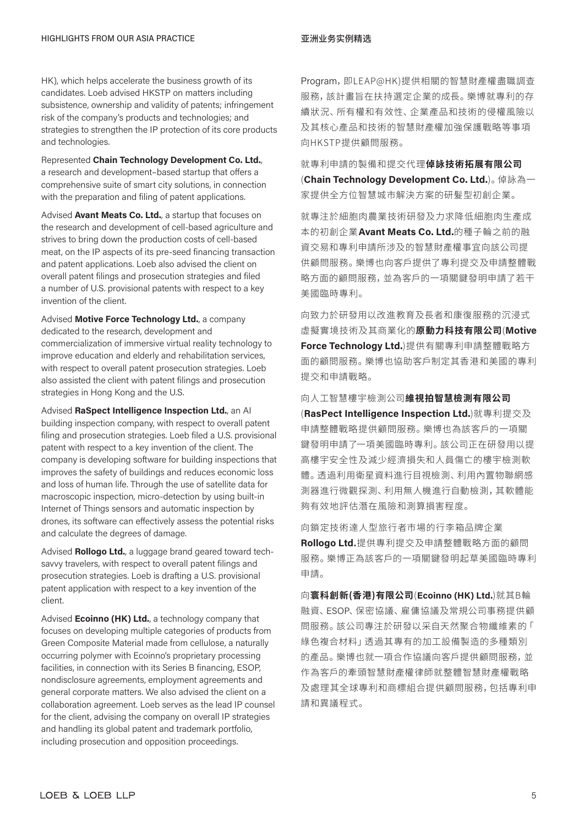HK), which helps accelerate the business growth of its candidates. Loeb advised HKSTP on matters including subsistence, ownership and validity of patents; infringement risk of the company's products and technologies; and strategies to strengthen the IP protection of its core products and technologies.

Represented **Chain Technology Development Co. Ltd.**, a research and development–based startup that offers a comprehensive suite of smart city solutions, in connection with the preparation and filing of patent applications.

Advised **Avant Meats Co. Ltd.**, a startup that focuses on the research and development of cell-based agriculture and strives to bring down the production costs of cell-based meat, on the IP aspects of its pre-seed financing transaction and patent applications. Loeb also advised the client on overall patent filings and prosecution strategies and filed a number of U.S. provisional patents with respect to a key invention of the client.

Advised **Motive Force Technology Ltd.**, a company dedicated to the research, development and commercialization of immersive virtual reality technology to improve education and elderly and rehabilitation services, with respect to overall patent prosecution strategies. Loeb also assisted the client with patent filings and prosecution strategies in Hong Kong and the U.S.

Advised **RaSpect Intelligence Inspection Ltd.**, an AI building inspection company, with respect to overall patent filing and prosecution strategies. Loeb filed a U.S. provisional patent with respect to a key invention of the client. The company is developing software for building inspections that improves the safety of buildings and reduces economic loss and loss of human life. Through the use of satellite data for macroscopic inspection, micro-detection by using built-in Internet of Things sensors and automatic inspection by drones, its software can effectively assess the potential risks and calculate the degrees of damage.

Advised **Rollogo Ltd.**, a luggage brand geared toward techsavvy travelers, with respect to overall patent filings and prosecution strategies. Loeb is drafting a U.S. provisional patent application with respect to a key invention of the client.

Advised **Ecoinno (HK) Ltd.**, a technology company that focuses on developing multiple categories of products from Green Composite Material made from cellulose, a naturally occurring polymer with Ecoinno's proprietary processing facilities, in connection with its Series B financing, ESOP, nondisclosure agreements, employment agreements and general corporate matters. We also advised the client on a collaboration agreement. Loeb serves as the lead IP counsel for the client, advising the company on overall IP strategies and handling its global patent and trademark portfolio, including prosecution and opposition proceedings.

Program, 即LEAP@HK)提供相關的智慧財產權盡職調查 服務,該計書旨在扶持選定企業的成長。 樂博就專利的存 續狀況、所有權和有效性、企業產品和技術的侵權風險以 及其核心產品和技術的智慧財產權加強保護戰略等事項 向HKSTP提供顧問服務。

就專利申請的製備和提交代理**倬詠技術拓展有限公司** (**Chain Technology Development Co. Ltd.**)。倬詠為一 家提供全方位智慧城市解決方案的研髮型初創企業。

就專注於細胞肉農業技術研發及力求降低細胞肉生產成 本的初創企業**Avant Meats Co. Ltd.**的種子輪之前的融 資交易和專利申請所涉及的智慧財產權事宜向該公司提 供顧問服務。樂博也向客戶提供了專利提交及申請整體戰 略方面的顧問服務,並為客戶的一項關鍵發明申請了若干 美國臨時專利。

向致力於研發用以改進教育及長者和康復服務的沉浸式 虛擬實境技術及其商業化的**原動力科技有限公司**(**Motive Force Technology Ltd.**)提供有關專利申請整體戰略方 面的顧問服務。樂博也協助客戶制定其香港和美國的專利 提交和申請戰略。

向人工智慧樓宇檢測公司**維視拍智慧檢測有限公司**

(**RasPect Intelligence Inspection Ltd.**)就專利提交及 申請整體戰略提供顧問服務。樂博也為該客戶的一項關 鍵發明申請了一項美國臨時專利。該公司正在研發用以提 高樓宇安全性及減少經濟損失和人員傷亡的樓宇檢測軟 體。透過利用衛星資料進行目視檢測、利用內置物聯網感 測器進行微觀探測、利用無人機進行自動檢測,其軟體能 夠有效地評估潛在風險和測算損害程度。

向鎖定技術達人型旅行者市場的行李箱品牌企業 **Rollogo Ltd.**提供專利提交及申請整體戰略方面的顧問 服務。樂博正為該客戶的一項關鍵發明起草美國臨時專利 申請。

向**寰科創新(香港)有限公司**(**Ecoinno (HK) Ltd.**)就其B輪 融資、ESOP、保密協議、雇傭協議及常規公司事務提供顧 問服務。該公司專注於研發以采自天然聚合物纖維素的「 綠色複合材料」透過其專有的加工設備製造的多種類別 的產品。樂博也就一項合作協議向客戶提供顧問服務,並 作為客戶的牽頭智慧財產權律師就整體智慧財產權戰略 及處理其全球專利和商標組合提供顧問服務,包括專利申 請和異議程式。